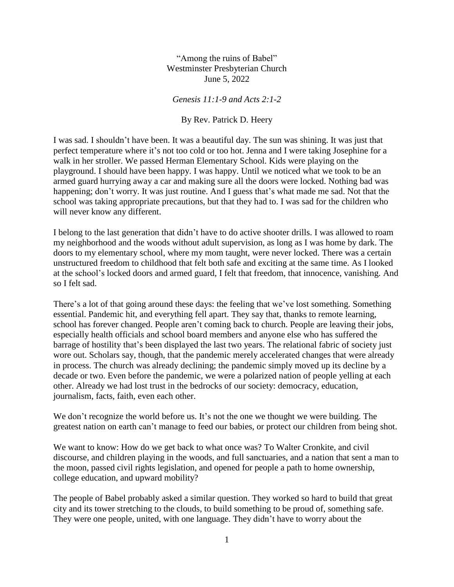"Among the ruins of Babel" Westminster Presbyterian Church June 5, 2022

*Genesis 11:1-9 and Acts 2:1-2*

By Rev. Patrick D. Heery

I was sad. I shouldn't have been. It was a beautiful day. The sun was shining. It was just that perfect temperature where it's not too cold or too hot. Jenna and I were taking Josephine for a walk in her stroller. We passed Herman Elementary School. Kids were playing on the playground. I should have been happy. I was happy. Until we noticed what we took to be an armed guard hurrying away a car and making sure all the doors were locked. Nothing bad was happening; don't worry. It was just routine. And I guess that's what made me sad. Not that the school was taking appropriate precautions, but that they had to. I was sad for the children who will never know any different.

I belong to the last generation that didn't have to do active shooter drills. I was allowed to roam my neighborhood and the woods without adult supervision, as long as I was home by dark. The doors to my elementary school, where my mom taught, were never locked. There was a certain unstructured freedom to childhood that felt both safe and exciting at the same time. As I looked at the school's locked doors and armed guard, I felt that freedom, that innocence, vanishing. And so I felt sad.

There's a lot of that going around these days: the feeling that we've lost something. Something essential. Pandemic hit, and everything fell apart. They say that, thanks to remote learning, school has forever changed. People aren't coming back to church. People are leaving their jobs, especially health officials and school board members and anyone else who has suffered the barrage of hostility that's been displayed the last two years. The relational fabric of society just wore out. Scholars say, though, that the pandemic merely accelerated changes that were already in process. The church was already declining; the pandemic simply moved up its decline by a decade or two. Even before the pandemic, we were a polarized nation of people yelling at each other. Already we had lost trust in the bedrocks of our society: democracy, education, journalism, facts, faith, even each other.

We don't recognize the world before us. It's not the one we thought we were building. The greatest nation on earth can't manage to feed our babies, or protect our children from being shot.

We want to know: How do we get back to what once was? To Walter Cronkite, and civil discourse, and children playing in the woods, and full sanctuaries, and a nation that sent a man to the moon, passed civil rights legislation, and opened for people a path to home ownership, college education, and upward mobility?

The people of Babel probably asked a similar question. They worked so hard to build that great city and its tower stretching to the clouds, to build something to be proud of, something safe. They were one people, united, with one language. They didn't have to worry about the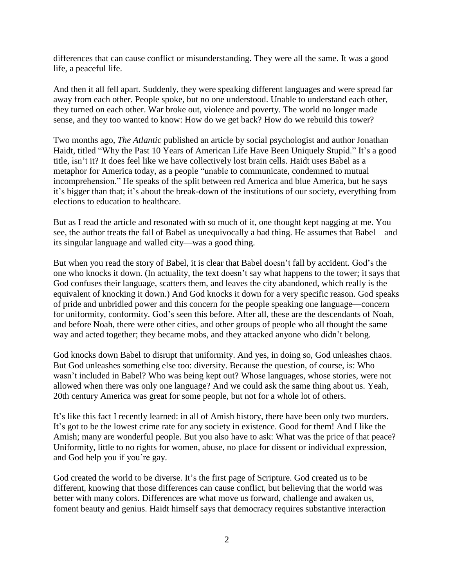differences that can cause conflict or misunderstanding. They were all the same. It was a good life, a peaceful life.

And then it all fell apart. Suddenly, they were speaking different languages and were spread far away from each other. People spoke, but no one understood. Unable to understand each other, they turned on each other. War broke out, violence and poverty. The world no longer made sense, and they too wanted to know: How do we get back? How do we rebuild this tower?

Two months ago, *The Atlantic* published an article by social psychologist and author Jonathan Haidt, titled "Why the Past 10 Years of American Life Have Been Uniquely Stupid." It's a good title, isn't it? It does feel like we have collectively lost brain cells. Haidt uses Babel as a metaphor for America today, as a people "unable to communicate, condemned to mutual incomprehension." He speaks of the split between red America and blue America, but he says it's bigger than that; it's about the break-down of the institutions of our society, everything from elections to education to healthcare.

But as I read the article and resonated with so much of it, one thought kept nagging at me. You see, the author treats the fall of Babel as unequivocally a bad thing. He assumes that Babel—and its singular language and walled city—was a good thing.

But when you read the story of Babel, it is clear that Babel doesn't fall by accident. God's the one who knocks it down. (In actuality, the text doesn't say what happens to the tower; it says that God confuses their language, scatters them, and leaves the city abandoned, which really is the equivalent of knocking it down.) And God knocks it down for a very specific reason. God speaks of pride and unbridled power and this concern for the people speaking one language—concern for uniformity, conformity. God's seen this before. After all, these are the descendants of Noah, and before Noah, there were other cities, and other groups of people who all thought the same way and acted together; they became mobs, and they attacked anyone who didn't belong.

God knocks down Babel to disrupt that uniformity. And yes, in doing so, God unleashes chaos. But God unleashes something else too: diversity. Because the question, of course, is: Who wasn't included in Babel? Who was being kept out? Whose languages, whose stories, were not allowed when there was only one language? And we could ask the same thing about us. Yeah, 20th century America was great for some people, but not for a whole lot of others.

It's like this fact I recently learned: in all of Amish history, there have been only two murders. It's got to be the lowest crime rate for any society in existence. Good for them! And I like the Amish; many are wonderful people. But you also have to ask: What was the price of that peace? Uniformity, little to no rights for women, abuse, no place for dissent or individual expression, and God help you if you're gay.

God created the world to be diverse. It's the first page of Scripture. God created us to be different, knowing that those differences can cause conflict, but believing that the world was better with many colors. Differences are what move us forward, challenge and awaken us, foment beauty and genius. Haidt himself says that democracy requires substantive interaction